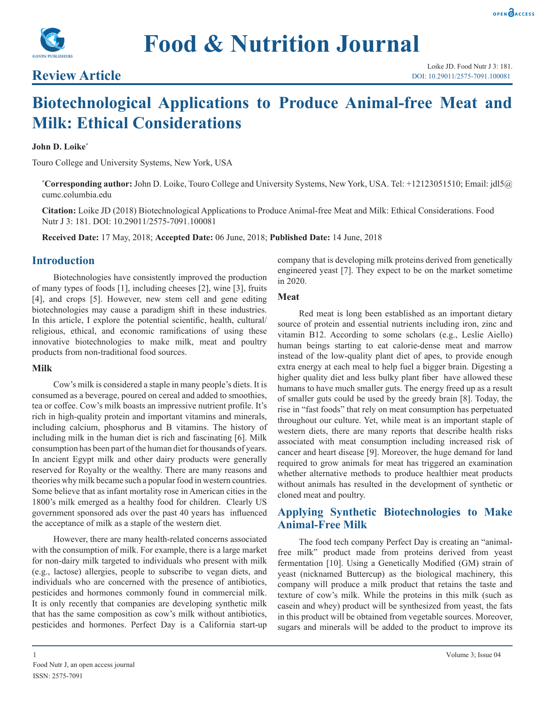



# **Review Article**

# **Biotechnological Applications to Produce Animal-free Meat and Milk: Ethical Considerations**

#### **John D. Loike\***

Touro College and University Systems, New York, USA

**\* Corresponding author:** John D. Loike, Touro College and University Systems, New York, USA. Tel: +12123051510; Email: jdl5@ cumc.columbia.edu

**Citation:** Loike JD (2018) Biotechnological Applications to Produce Animal-free Meat and Milk: Ethical Considerations. Food Nutr J 3: 181. DOI: 10.29011/2575-7091.100081

**Received Date:** 17 May, 2018; **Accepted Date:** 06 June, 2018; **Published Date:** 14 June, 2018

#### **Introduction**

Biotechnologies have consistently improved the production of many types of foods [1], including cheeses [2], wine [3], fruits [4], and crops [5]. However, new stem cell and gene editing biotechnologies may cause a paradigm shift in these industries. In this article, I explore the potential scientific, health, cultural/ religious, ethical, and economic ramifications of using these innovative biotechnologies to make milk, meat and poultry products from non-traditional food sources.

#### **Milk**

Cow's milk is considered a staple in many people's diets. It is consumed as a beverage, poured on cereal and added to smoothies, tea or coffee. Cow's milk boasts an impressive nutrient profile. It's rich in high-quality protein and important vitamins and minerals, including calcium, phosphorus and B vitamins. The history of including milk in the human diet is rich and fascinating [6]. Milk consumption has been part of the human diet for thousands of years. In ancient Egypt milk and other dairy products were generally reserved for Royalty or the wealthy. There are many reasons and theories why milk became such a popular food in western countries. Some believe that as infant mortality rose in American cities in the 1800's milk emerged as a healthy food for children. Clearly US government sponsored ads over the past 40 years has influenced the acceptance of milk as a staple of the western diet.

However, there are many health-related concerns associated with the consumption of milk. For example, there is a large market for non-dairy milk targeted to individuals who present with milk (e.g., lactose) allergies, people to subscribe to vegan diets, and individuals who are concerned with the presence of antibiotics, pesticides and hormones commonly found in commercial milk. It is only recently that companies are developing synthetic milk that has the same composition as cow's milk without antibiotics, pesticides and hormones. Perfect Day is a California start-up

company that is developing milk proteins derived from genetically engineered yeast [7]. They expect to be on the market sometime in 2020.

#### **Meat**

Red meat is long been established as an important dietary source of protein and essential nutrients including iron, zinc and vitamin B12. According to some scholars (e.g., Leslie Aiello) human beings starting to eat calorie-dense meat and marrow instead of the low-quality plant diet of apes, to provide enough extra energy at each meal to help fuel a bigger brain. Digesting a higher quality diet and less bulky plant fiber have allowed these humans to have much smaller guts. The energy freed up as a result of smaller guts could be used by the greedy brain [8]. Today, the rise in "fast foods" that rely on meat consumption has perpetuated throughout our culture. Yet, while meat is an important staple of western diets, there are many reports that describe health risks associated with meat consumption including increased risk of cancer and heart disease [9]. Moreover, the huge demand for land required to grow animals for meat has triggered an examination whether alternative methods to produce healthier meat products without animals has resulted in the development of synthetic or cloned meat and poultry.

## **Applying Synthetic Biotechnologies to Make Animal-Free Milk**

The food tech company Perfect Day is creating an "animalfree milk" product made from proteins derived from yeast fermentation [10]. Using a Genetically Modified (GM) strain of yeast (nicknamed Buttercup) as the biological machinery, this company will produce a milk product that retains the taste and texture of cow's milk. While the proteins in this milk (such as casein and whey) product will be synthesized from yeast, the fats in this product will be obtained from vegetable sources. Moreover, sugars and minerals will be added to the product to improve its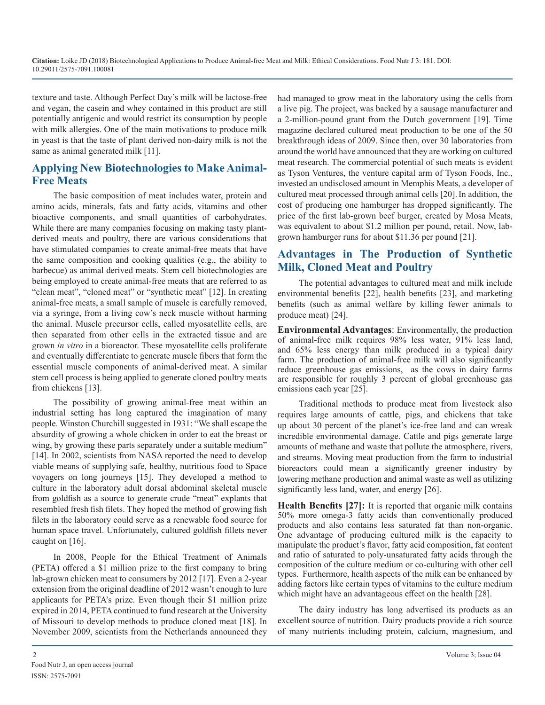texture and taste. Although Perfect Day's milk will be lactose-free and vegan, the casein and whey contained in this product are still potentially antigenic and would restrict its consumption by people with milk allergies. One of the main motivations to produce milk in yeast is that the taste of plant derived non-dairy milk is not the same as animal generated milk [11].

# **Applying New Biotechnologies to Make Animal-Free Meats**

The basic composition of meat includes water, protein and amino acids, minerals, fats and fatty acids, vitamins and other bioactive components, and small quantities of carbohydrates. While there are many companies focusing on making tasty plantderived meats and poultry, there are various considerations that have stimulated companies to create animal-free meats that have the same composition and cooking qualities (e.g., the ability to barbecue) as animal derived meats. Stem cell biotechnologies are being employed to create animal-free meats that are referred to as "clean meat", "cloned meat" or "synthetic meat" [12]. In creating animal-free meats, a small sample of muscle is carefully removed, via a syringe, from a living cow's neck muscle without harming the animal. Muscle precursor cells, called myosatellite cells, are then separated from other cells in the extracted tissue and are grown *in vitro* in a bioreactor. These myosatellite cells proliferate and eventually differentiate to generate muscle fibers that form the essential muscle components of animal-derived meat. A similar stem cell process is being applied to generate cloned poultry meats from chickens [13].

The possibility of growing animal-free meat within an industrial setting has long captured the imagination of many people. Winston Churchill suggested in 1931: "We shall escape the absurdity of growing a whole chicken in order to eat the breast or wing, by growing these parts separately under a suitable medium" [14]. In 2002, scientists from NASA reported the need to develop viable means of supplying safe, healthy, nutritious food to Space voyagers on long journeys [15]. They developed a method to culture in the laboratory adult dorsal abdominal skeletal muscle from goldfish as a source to generate crude "meat" explants that resembled fresh fish filets. They hoped the method of growing fish filets in the laboratory could serve as a renewable food source for human space travel. Unfortunately, cultured goldfish fillets never caught on [16].

In 2008, People for the Ethical Treatment of Animals (PETA) offered a \$1 million prize to the first company to bring lab-grown chicken meat to consumers by 2012 [17]. Even a 2-year extension from the original deadline of 2012 wasn't enough to lure applicants for PETA's prize. Even though their \$1 million prize expired in 2014, PETA continued to fund research at the University of Missouri to develop methods to produce cloned meat [18]. In November 2009, scientists from the Netherlands announced they had managed to grow meat in the laboratory using the cells from a live pig. The project, was backed by a sausage manufacturer and a 2-million-pound grant from the Dutch government [19]. Time magazine declared cultured meat production to be one of the 50 breakthrough ideas of 2009. Since then, over 30 laboratories from around the world have announced that they are working on cultured meat research. The commercial potential of such meats is evident as Tyson Ventures, the venture capital arm of Tyson Foods, Inc., invested an undisclosed amount in Memphis Meats, a developer of cultured meat processed through animal cells [20].In addition, the cost of producing one hamburger has dropped significantly. The price of the first lab-grown beef burger, created by Mosa Meats, was equivalent to about \$1.2 million per pound, retail. Now, labgrown hamburger runs for about \$11.36 per pound [21].

# **Advantages in The Production of Synthetic Milk, Cloned Meat and Poultry**

The potential advantages to cultured meat and milk include environmental benefits [22], health benefits [23], and marketing benefits (such as animal welfare by killing fewer animals to produce meat) [24].

**Environmental Advantages**: Environmentally, the production of animal-free milk requires 98% less water, 91% less land, and 65% less energy than milk produced in a typical dairy farm. The production of animal-free milk will also significantly reduce greenhouse gas emissions, as the cows in dairy farms are responsible for roughly 3 percent of global greenhouse gas emissions each year [25].

Traditional methods to produce meat from livestock also requires large amounts of cattle, pigs, and chickens that take up about 30 percent of the planet's ice-free land and can wreak incredible environmental damage. Cattle and pigs generate large amounts of methane and waste that pollute the atmosphere, rivers, and streams. Moving meat production from the farm to industrial bioreactors could mean a significantly greener industry by lowering methane production and animal waste as well as utilizing significantly less land, water, and energy [26].

**Health Benefits [27]:** It is reported that organic milk contains 50% more omega-3 fatty acids than conventionally produced products and also contains less saturated fat than non-organic. One advantage of producing cultured milk is the capacity to manipulate the product's flavor, fatty acid composition, fat content and ratio of saturated to poly-unsaturated fatty acids through the composition of the culture medium or co-culturing with other cell types. Furthermore, health aspects of the milk can be enhanced by adding factors like certain types of vitamins to the culture medium which might have an advantageous effect on the health [28].

The dairy industry has long advertised its products as an excellent source of nutrition. Dairy products provide a rich source of many nutrients including protein, calcium, magnesium, and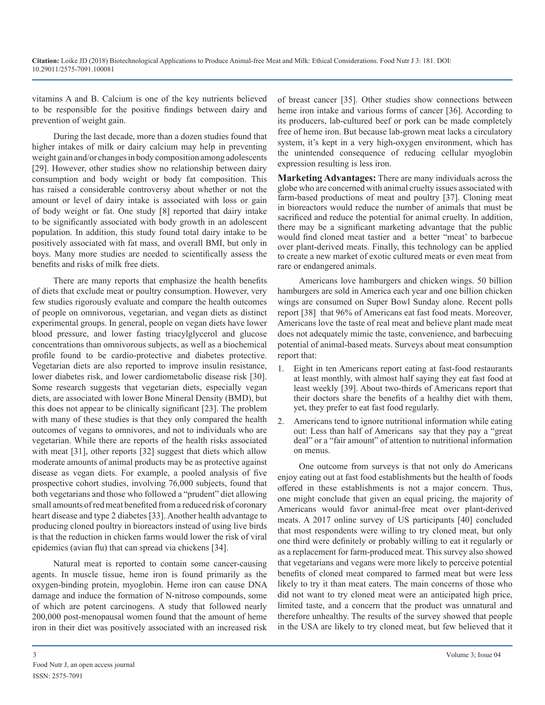vitamins A and B. Calcium is one of the key nutrients believed to be responsible for the positive findings between dairy and prevention of weight gain.

During the last decade, more than a dozen studies found that higher intakes of milk or dairy calcium may help in preventing weight gain and/or changes in body composition among adolescents [29]. However, other studies show no relationship between dairy consumption and body weight or body fat composition. This has raised a considerable controversy about whether or not the amount or level of dairy intake is associated with loss or gain of body weight or fat. One study [8] reported that dairy intake to be significantly associated with body growth in an adolescent population. In addition, this study found total dairy intake to be positively associated with fat mass, and overall BMI, but only in boys. Many more studies are needed to scientifically assess the benefits and risks of milk free diets.

There are many reports that emphasize the health benefits of diets that exclude meat or poultry consumption. However, very few studies rigorously evaluate and compare the health outcomes of people on omnivorous, vegetarian, and vegan diets as distinct experimental groups. In general, people on vegan diets have lower blood pressure, and lower fasting triacylglycerol and glucose concentrations than omnivorous subjects, as well as a biochemical profile found to be cardio-protective and diabetes protective. Vegetarian diets are also reported to improve insulin resistance, lower diabetes risk, and lower cardiometabolic disease risk [30]. Some research suggests that vegetarian diets, especially vegan diets, are associated with lower Bone Mineral Density (BMD), but this does not appear to be clinically significant [23]. The problem with many of these studies is that they only compared the health outcomes of vegans to omnivores, and not to individuals who are vegetarian. While there are reports of the health risks associated with meat [31], other reports [32] suggest that diets which allow moderate amounts of animal products may be as protective against disease as vegan diets. For example, a pooled analysis of five prospective cohort studies, involving 76,000 subjects, found that both vegetarians and those who followed a "prudent" diet allowing small amounts of red meat benefited from a reduced risk of coronary heart disease and type 2 diabetes [33]. Another health advantage to producing cloned poultry in bioreactors instead of using live birds is that the reduction in chicken farms would lower the risk of viral epidemics (avian flu) that can spread via chickens [34].

Natural meat is reported to contain some cancer-causing agents. In muscle tissue, heme iron is found primarily as the oxygen-binding protein, myoglobin. Heme iron can cause DNA damage and induce the formation of N-nitroso compounds, some of which are potent carcinogens. A study that followed nearly 200,000 post-menopausal women found that the amount of heme iron in their diet was positively associated with an increased risk

of breast cancer [35]. Other studies show connections between heme iron intake and various forms of cancer [36]. According to its producers, lab-cultured beef or pork can be made completely free of heme iron. But because lab-grown meat lacks a circulatory system, it's kept in a very high-oxygen environment, which has the unintended consequence of reducing cellular myoglobin expression resulting is less iron.

**Marketing Advantages:** There are many individuals across the globe who are concerned with animal cruelty issues associated with farm-based productions of meat and poultry [37]. Cloning meat in bioreactors would reduce the number of animals that must be sacrificed and reduce the potential for animal cruelty. In addition, there may be a significant marketing advantage that the public would find cloned meat tastier and a better "meat' to barbecue over plant-derived meats. Finally, this technology can be applied to create a new market of exotic cultured meats or even meat from rare or endangered animals.

Americans love hamburgers and chicken wings. 50 billion hamburgers are sold in America each year and one billion chicken wings are consumed on Super Bowl Sunday alone. Recent polls report [38] that 96% of Americans eat fast food meats. Moreover, Americans love the taste of real meat and believe plant made meat does not adequately mimic the taste, convenience, and barbecuing potential of animal-based meats. Surveys about meat consumption report that:

- 1. Eight in ten Americans report eating at fast-food restaurants at least monthly, with almost half saying they eat fast food at least weekly [39]. About two-thirds of Americans report that their doctors share the benefits of a healthy diet with them, yet, they prefer to eat fast food regularly.
- 2. Americans tend to ignore nutritional information while eating out: Less than half of Americans say that they pay a "great deal" or a "fair amount" of attention to nutritional information on menus.

One outcome from surveys is that not only do Americans enjoy eating out at fast food establishments but the health of foods offered in these establishments is not a major concern. Thus, one might conclude that given an equal pricing, the majority of Americans would favor animal-free meat over plant-derived meats. A 2017 online survey of US participants [40] concluded that most respondents were willing to try cloned meat, but only one third were definitely or probably willing to eat it regularly or as a replacement for farm-produced meat. This survey also showed that vegetarians and vegans were more likely to perceive potential benefits of cloned meat compared to farmed meat but were less likely to try it than meat eaters. The main concerns of those who did not want to try cloned meat were an anticipated high price, limited taste, and a concern that the product was unnatural and therefore unhealthy. The results of the survey showed that people in the USA are likely to try cloned meat, but few believed that it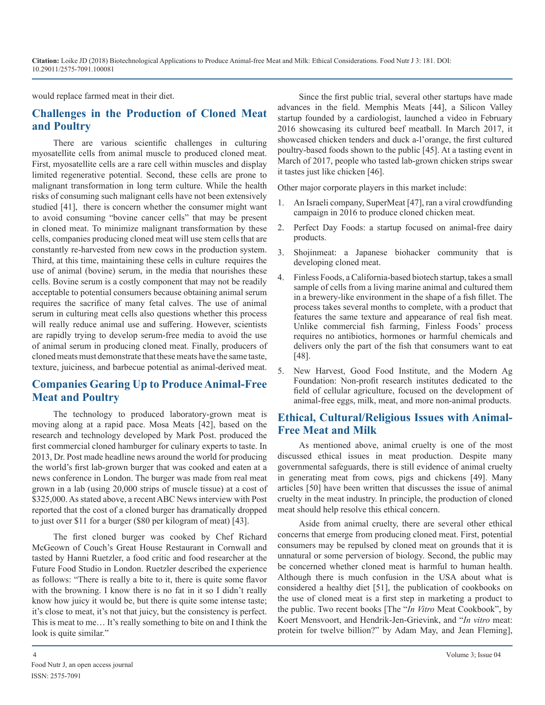**Citation:** Loike JD (2018) Biotechnological Applications to Produce Animal-free Meat and Milk: Ethical Considerations. Food Nutr J 3: 181. DOI: 10.29011/2575-7091.100081

would replace farmed meat in their diet.

## **Challenges in the Production of Cloned Meat and Poultry**

There are various scientific challenges in culturing myosatellite cells from animal muscle to produced cloned meat. First, myosatellite cells are a rare cell within muscles and display limited regenerative potential. Second, these cells are prone to malignant transformation in long term culture. While the health risks of consuming such malignant cells have not been extensively studied [41], there is concern whether the consumer might want to avoid consuming "bovine cancer cells" that may be present in cloned meat. To minimize malignant transformation by these cells, companies producing cloned meat will use stem cells that are constantly re-harvested from new cows in the production system. Third, at this time, maintaining these cells in culture requires the use of animal (bovine) serum, in the media that nourishes these cells. Bovine serum is a costly component that may not be readily acceptable to potential consumers because obtaining animal serum requires the sacrifice of many fetal calves. The use of animal serum in culturing meat cells also questions whether this process will really reduce animal use and suffering. However, scientists are rapidly trying to develop serum-free media to avoid the use of animal serum in producing cloned meat. Finally, producers of cloned meats must demonstrate that these meats have the same taste, texture, juiciness, and barbecue potential as animal-derived meat.

# **Companies Gearing Up to Produce Animal-Free Meat and Poultry**

The technology to produced laboratory-grown meat is moving along at a rapid pace. Mosa Meats [42], based on the research and technology developed by Mark Post. produced the first commercial cloned hamburger for culinary experts to taste. In 2013, Dr. Post made headline news around the world for producing the world's first lab-grown burger that was cooked and eaten at a news conference in London. The burger was made from real meat grown in a lab (using 20,000 strips of muscle tissue) at a cost of \$325,000. As stated above, a recent ABC News interview with Post reported that the cost of a cloned burger has dramatically dropped to just over \$11 for a burger (\$80 per kilogram of meat) [43].

The first cloned burger was cooked by Chef Richard McGeown of Couch's Great House Restaurant in Cornwall and tasted by Hanni Ruetzler, a food critic and food researcher at the Future Food Studio in London. Ruetzler described the experience as follows: "There is really a bite to it, there is quite some flavor with the browning. I know there is no fat in it so I didn't really know how juicy it would be, but there is quite some intense taste; it's close to meat, it's not that juicy, but the consistency is perfect. This is meat to me… It's really something to bite on and I think the look is quite similar."

Since the first public trial, several other startups have made advances in the field. Memphis Meats [44], a Silicon Valley startup founded by a cardiologist, launched a video in February 2016 showcasing its cultured beef meatball. In March 2017, it showcased chicken tenders and duck a-l'orange, the first cultured poultry-based foods shown to the public [45]. At a tasting event in March of 2017, people who tasted lab-grown chicken strips swear it tastes just like chicken [46].

Other major corporate players in this market include:

- 1. An Israeli company, SuperMeat [47], ran a viral crowdfunding campaign in 2016 to produce cloned chicken meat.
- 2. Perfect Day Foods: a startup focused on animal-free dairy products.
- 3. Shojinmeat: a Japanese biohacker community that is developing cloned meat.
- 4. Finless Foods, a California-based biotech startup, takes a small sample of cells from a living marine animal and cultured them in a brewery-like environment in the shape of a fish fillet. The process takes several months to complete, with a product that features the same texture and appearance of real fish meat. Unlike commercial fish farming, Finless Foods' process requires no antibiotics, hormones or harmful chemicals and delivers only the part of the fish that consumers want to eat [48].
- 5. New Harvest, Good Food Institute, and the Modern Ag Foundation: Non-profit research institutes dedicated to the field of cellular agriculture, focused on the development of animal-free eggs, milk, meat, and more non-animal products.

# **Ethical, Cultural/Religious Issues with Animal-Free Meat and Milk**

As mentioned above, animal cruelty is one of the most discussed ethical issues in meat production. Despite many governmental safeguards, there is still evidence of animal cruelty in generating meat from cows, pigs and chickens [49]. Many articles [50] have been written that discusses the issue of animal cruelty in the meat industry. In principle, the production of cloned meat should help resolve this ethical concern.

Aside from animal cruelty, there are several other ethical concerns that emerge from producing cloned meat. First, potential consumers may be repulsed by cloned meat on grounds that it is unnatural or some perversion of biology. Second, the public may be concerned whether cloned meat is harmful to human health. Although there is much confusion in the USA about what is considered a healthy diet [51], the publication of cookbooks on the use of cloned meat is a first step in marketing a product to the public. Two recent books [The "*In Vitro* Meat Cookbook", by Koert Mensvoort, and Hendrik-Jen-Grievink, and "*In vitro* meat: protein for twelve billion?" by Adam May, and Jean Fleming],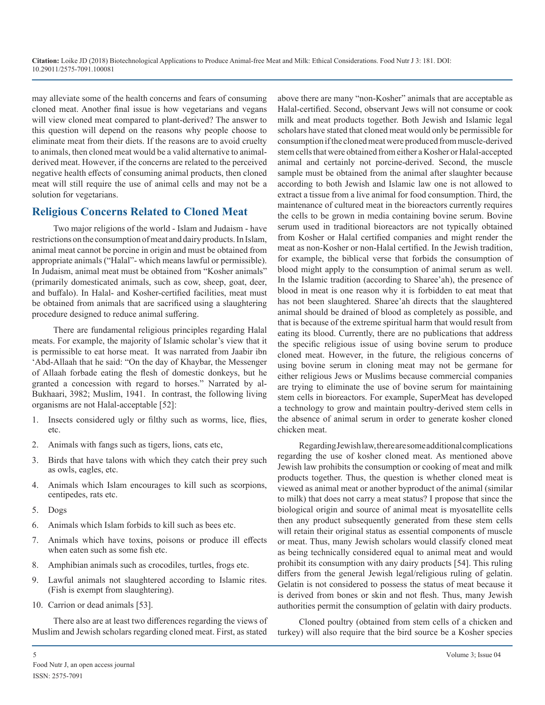may alleviate some of the health concerns and fears of consuming cloned meat. Another final issue is how vegetarians and vegans will view cloned meat compared to plant-derived? The answer to this question will depend on the reasons why people choose to eliminate meat from their diets. If the reasons are to avoid cruelty to animals, then cloned meat would be a valid alternative to animalderived meat. However, if the concerns are related to the perceived negative health effects of consuming animal products, then cloned meat will still require the use of animal cells and may not be a solution for vegetarians.

## **Religious Concerns Related to Cloned Meat**

Two major religions of the world - Islam and Judaism - have restrictions on the consumption of meat and dairy products. In Islam, animal meat cannot be porcine in origin and must be obtained from appropriate animals ("Halal"- which means lawful or permissible). In Judaism, animal meat must be obtained from "Kosher animals" (primarily domesticated animals, such as cow, sheep, goat, deer, and buffalo). In Halal- and Kosher-certified facilities, meat must be obtained from animals that are sacrificed using a slaughtering procedure designed to reduce animal suffering.

There are fundamental religious principles regarding Halal meats. For example, the majority of Islamic scholar's view that it is permissible to eat horse meat. It was narrated from Jaabir ibn 'Abd-Allaah that he said: "On the day of Khaybar, the Messenger of Allaah forbade eating the flesh of domestic donkeys, but he granted a concession with regard to horses." Narrated by al-Bukhaari, 3982; Muslim, 1941. In contrast, the following living organisms are not Halal-acceptable [52]:

- 1. Insects considered ugly or filthy such as worms, lice, flies, etc.
- 2. Animals with fangs such as tigers, lions, cats etc,
- 3. Birds that have talons with which they catch their prey such as owls, eagles, etc.
- 4. Animals which Islam encourages to kill such as scorpions, centipedes, rats etc.
- 5. Dogs
- 6. Animals which Islam forbids to kill such as bees etc.
- 7. Animals which have toxins, poisons or produce ill effects when eaten such as some fish etc.
- 8. Amphibian animals such as crocodiles, turtles, frogs etc.
- 9. Lawful animals not slaughtered according to Islamic rites. (Fish is exempt from slaughtering).
- 10. Carrion or dead animals [53].

There also are at least two differences regarding the views of Muslim and Jewish scholars regarding cloned meat. First, as stated

above there are many "non-Kosher" animals that are acceptable as Halal-certified. Second, observant Jews will not consume or cook milk and meat products together. Both Jewish and Islamic legal scholars have stated that cloned meat would only be permissible for consumption if the cloned meat were produced from muscle-derived stem cells that were obtained from either a Kosher or Halal-accepted animal and certainly not porcine-derived. Second, the muscle sample must be obtained from the animal after slaughter because according to both Jewish and Islamic law one is not allowed to extract a tissue from a live animal for food consumption. Third, the maintenance of cultured meat in the bioreactors currently requires the cells to be grown in media containing bovine serum. Bovine serum used in traditional bioreactors are not typically obtained from Kosher or Halal certified companies and might render the meat as non-Kosher or non-Halal certified. In the Jewish tradition, for example, the biblical verse that forbids the consumption of blood might apply to the consumption of animal serum as well. In the Islamic tradition (according to Sharee'ah), the presence of blood in meat is one reason why it is forbidden to eat meat that has not been slaughtered. Sharee'ah directs that the slaughtered animal should be drained of blood as completely as possible, and that is because of the extreme spiritual harm that would result from eating its blood. Currently, there are no publications that address the specific religious issue of using bovine serum to produce cloned meat. However, in the future, the religious concerns of using bovine serum in cloning meat may not be germane for either religious Jews or Muslims because commercial companies are trying to eliminate the use of bovine serum for maintaining stem cells in bioreactors. For example, SuperMeat has developed a technology to grow and maintain poultry-derived stem cells in the absence of animal serum in order to generate kosher cloned chicken meat.

Regarding Jewish law, there are some additional complications regarding the use of kosher cloned meat. As mentioned above Jewish law prohibits the consumption or cooking of meat and milk products together. Thus, the question is whether cloned meat is viewed as animal meat or another byproduct of the animal (similar to milk) that does not carry a meat status? I propose that since the biological origin and source of animal meat is myosatellite cells then any product subsequently generated from these stem cells will retain their original status as essential components of muscle or meat. Thus, many Jewish scholars would classify cloned meat as being technically considered equal to animal meat and would prohibit its consumption with any dairy products [54]. This ruling differs from the general Jewish legal/religious ruling of gelatin. Gelatin is not considered to possess the status of meat because it is derived from bones or skin and not flesh. Thus, many Jewish authorities permit the consumption of gelatin with dairy products.

Cloned poultry (obtained from stem cells of a chicken and turkey) will also require that the bird source be a Kosher species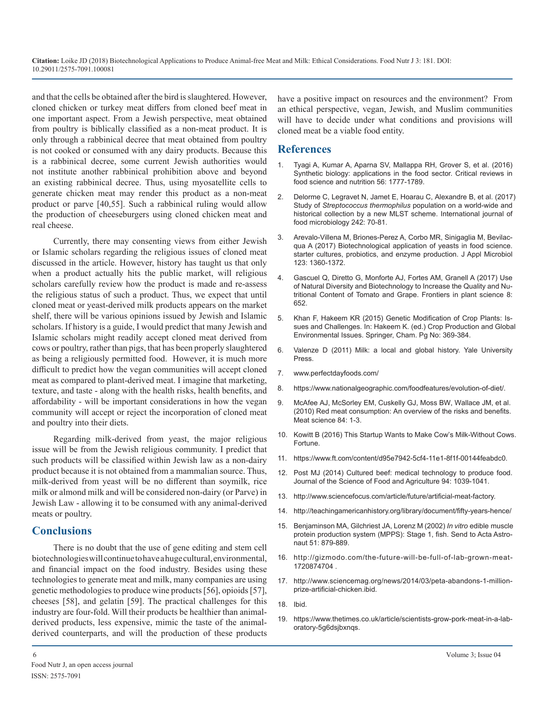**Citation:** Loike JD (2018) Biotechnological Applications to Produce Animal-free Meat and Milk: Ethical Considerations. Food Nutr J 3: 181. DOI: 10.29011/2575-7091.100081

and that the cells be obtained after the bird is slaughtered. However, cloned chicken or turkey meat differs from cloned beef meat in one important aspect. From a Jewish perspective, meat obtained from poultry is biblically classified as a non-meat product. It is only through a rabbinical decree that meat obtained from poultry is not cooked or consumed with any dairy products. Because this is a rabbinical decree, some current Jewish authorities would not institute another rabbinical prohibition above and beyond an existing rabbinical decree. Thus, using myosatellite cells to generate chicken meat may render this product as a non-meat product or parve [40,55]. Such a rabbinical ruling would allow the production of cheeseburgers using cloned chicken meat and real cheese.

Currently, there may consenting views from either Jewish or Islamic scholars regarding the religious issues of cloned meat discussed in the article. However, history has taught us that only when a product actually hits the public market, will religious scholars carefully review how the product is made and re-assess the religious status of such a product. Thus, we expect that until cloned meat or yeast-derived milk products appears on the market shelf, there will be various opinions issued by Jewish and Islamic scholars. If history is a guide, I would predict that many Jewish and Islamic scholars might readily accept cloned meat derived from cows or poultry, rather than pigs, that has been properly slaughtered as being a religiously permitted food. However, it is much more difficult to predict how the vegan communities will accept cloned meat as compared to plant-derived meat. I imagine that marketing, texture, and taste - along with the health risks, health benefits, and affordability - will be important considerations in how the vegan community will accept or reject the incorporation of cloned meat and poultry into their diets.

Regarding milk-derived from yeast, the major religious issue will be from the Jewish religious community. I predict that such products will be classified within Jewish law as a non-dairy product because it is not obtained from a mammalian source. Thus, milk-derived from yeast will be no different than soymilk, rice milk or almond milk and will be considered non-dairy (or Parve) in Jewish Law - allowing it to be consumed with any animal-derived meats or poultry.

## **Conclusions**

There is no doubt that the use of gene editing and stem cell biotechnologies will continue to have a huge cultural, environmental, and financial impact on the food industry. Besides using these technologies to generate meat and milk, many companies are using genetic methodologies to produce wine products [56], opioids [57], cheeses [58], and gelatin [59]. The practical challenges for this industry are four-fold. Will their products be healthier than animalderived products, less expensive, mimic the taste of the animalderived counterparts, and will the production of these products

#### **References**

- Tyagi A, Kumar A, Aparna SV, Mallappa RH, Grover S, et al. (2016) Synthetic biology: applications in the food sector. Critical reviews in [food science and nutrition 56: 1777-1789.](https://www.tandfonline.com/doi/abs/10.1080/10408398.2013.782534)
- 2. [Delorme C, Legravet N, Jamet E, Hoarau C, Alexandre B, et al. \(2017](https://www.ncbi.nlm.nih.gov/pubmed/27894009)) Study of *Streptococcus thermophilus* population on a world-wide and [historical collection by a new MLST scheme. International journal of](https://www.ncbi.nlm.nih.gov/pubmed/27894009)  [food microbiology 242: 70-81.](https://www.ncbi.nlm.nih.gov/pubmed/27894009)
- 3. [Arevalo-Villena M, Briones-Perez A, Corbo MR, Sinigaglia M, Bevilac](https://www.ncbi.nlm.nih.gov/pubmed/28744990)qua A (2017) Biotechnological application of yeasts in food science. [starter cultures, probiotics, and enzyme production. J Appl Microbiol](https://www.ncbi.nlm.nih.gov/pubmed/28744990)  [123: 1360-1372.](https://www.ncbi.nlm.nih.gov/pubmed/28744990)
- 4. [Gascuel Q, Diretto G, Monforte AJ, Fortes AM, Granell A \(2017\) Use](https://www.ncbi.nlm.nih.gov/pubmed/28553296)  of Natural Diversity and Biotechnology to Increase the Quality and Nu[tritional Content of Tomato and Grape. Frontiers in plant science 8:](https://www.ncbi.nlm.nih.gov/pubmed/28553296)  [652.](https://www.ncbi.nlm.nih.gov/pubmed/28553296)
- 5. [Khan F, Hakeem KR \(2015\) Genetic Modification of Crop Plants: Is](https://link.springer.com/chapter/10.1007/978-3-319-23162-4_16)sues and Challenges. In: Hakeem K. (ed.) Crop Production and Glob[al](https://link.springer.com/chapter/10.1007/978-3-319-23162-4_16)  [Environmental Issues. Springer, Cham. Pg No: 369-384.](https://link.springer.com/chapter/10.1007/978-3-319-23162-4_16)
- 6. [Valenze D \(2011\) Milk: a local and global history. Yale University](https://yalebooks.yale.edu/book/9780300188127/milk)  Press.
- 7. [www.perfectdayfoods.com/](http://www.perfectdayfoods.com/)
- 8. <https://www.nationalgeographic.com/foodfeatures/evolution-of-diet/>.
- 9. [McAfee AJ, McSorley EM, Cuskelly GJ, Moss BW, Wallace JM, et al.](https://www.ncbi.nlm.nih.gov/pubmed/20374748)  (2010) Red meat consumption: An overview of the risks and benefits. [Meat science 84: 1-3.](https://www.ncbi.nlm.nih.gov/pubmed/20374748)
- 10. [Kowitt B \(2016\) This Startup Wants to Make Cow's Milk-Without Cows.](http://fortune.com/2016/08/31/animal-free-cows-milk-perfect-day/)  Fortune.
- 11. <https://www.ft.com/content/d95e7942-5cf4-11e1-8f1f-00144feabdc0>.
- 12. [Post MJ \(2014\) Cultured beef: medical technology to produce food.](https://www.ncbi.nlm.nih.gov/pubmed/24214798)  Journal of the Science of Food and Agriculture 94: 1039-1041.
- 13. [http://www.sciencefocus.com/article/future/artificial-meat-factor](http://www.sciencefocus.com/article/future/artificial-meat-factory)y.
- 14. [http://teachingamericanhistory.org/library/document/fifty-years-hence](http://teachingamericanhistory.org/library/document/fifty-years-hence/)/
- 15. [Benjaminson MA, Gilchriest JA, Lorenz M \(2002\)](https://www.ncbi.nlm.nih.gov/pubmed/12416526) *In vitro* edible muscle [protein production system \(MPPS\): Stage 1, fish. Send to Acta Astro](https://www.ncbi.nlm.nih.gov/pubmed/12416526)[naut 51: 879-889.](https://www.ncbi.nlm.nih.gov/pubmed/12416526)
- 16. [http://gizmodo.com/the-future-will-be-full-of-lab-grown-meat-](http://gizmodo.com/the-future-will-be-full-of-lab-grown-meat-1720874704)1720874704
- 17. [http://www.sciencemag.org/news/2014/03/peta-abandons-1-million](http://www.sciencemag.org/news/2014/03/peta-abandons-1-million-prize-artificial-chicken.ibid)prize-artificial-chicken.ibid.
- 18. Ibid.
- 19. [https://www.thetimes.co.uk/article/scientists-grow-pork-meat-in-a-lab](https://www.thetimes.co.uk/article/scientists-grow-pork-meat-in-a-laboratory-5g6dsjbxnqs)oratory-5g6dsjbxnq[s.](https://www.thetimes.co.uk/article/scientists-grow-pork-meat-in-a-laboratory-5g6dsjbxnqs)